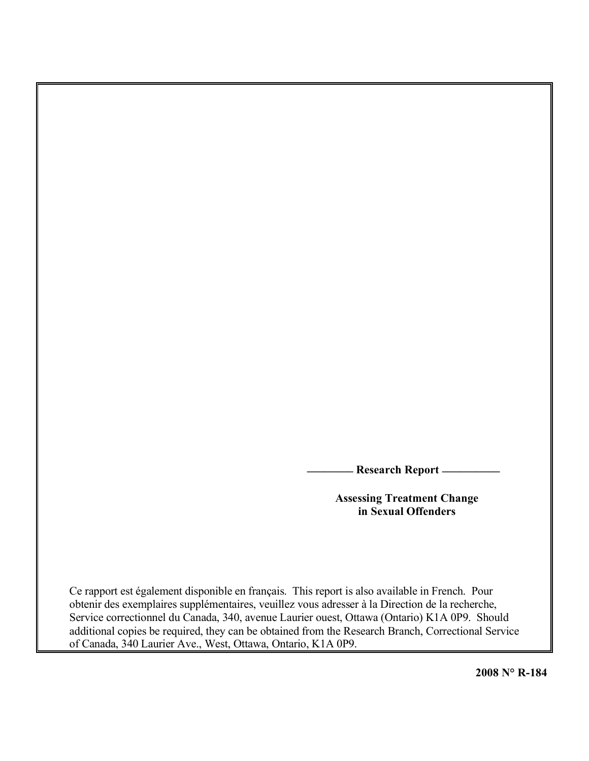**\_\_\_\_\_\_\_\_ Research Report \_\_\_\_\_\_\_\_\_\_**

**Assessing Treatment Change in Sexual Offenders**

Ce rapport est également disponible en français. This report is also available in French. Pour obtenir des exemplaires supplémentaires, veuillez vous adresser à la Direction de la recherche, Service correctionnel du Canada, 340, avenue Laurier ouest, Ottawa (Ontario) K1A 0P9. Should additional copies be required, they can be obtained from the Research Branch, Correctional Service of Canada, 340 Laurier Ave., West, Ottawa, Ontario, K1A 0P9.

**2008 N° R-184**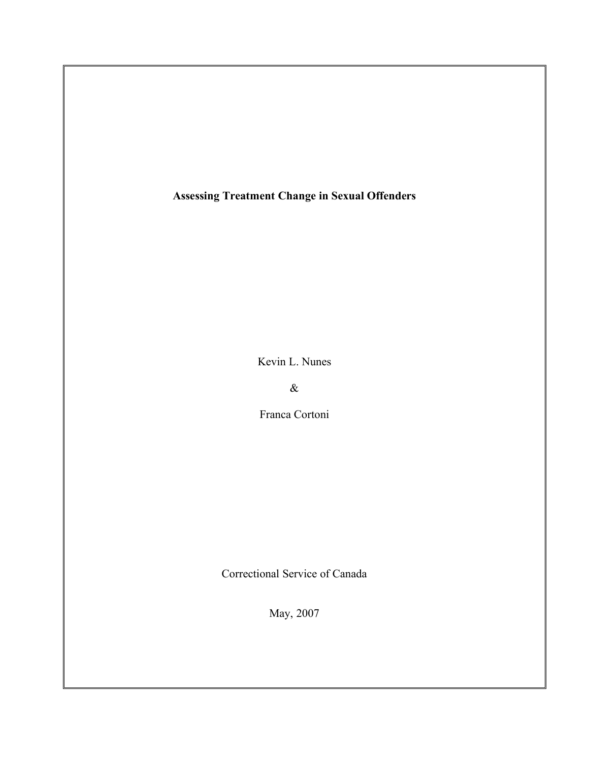**Assessing Treatment Change in Sexual Offenders**

Kevin L. Nunes

&

Franca Cortoni

Correctional Service of Canada

May, 2007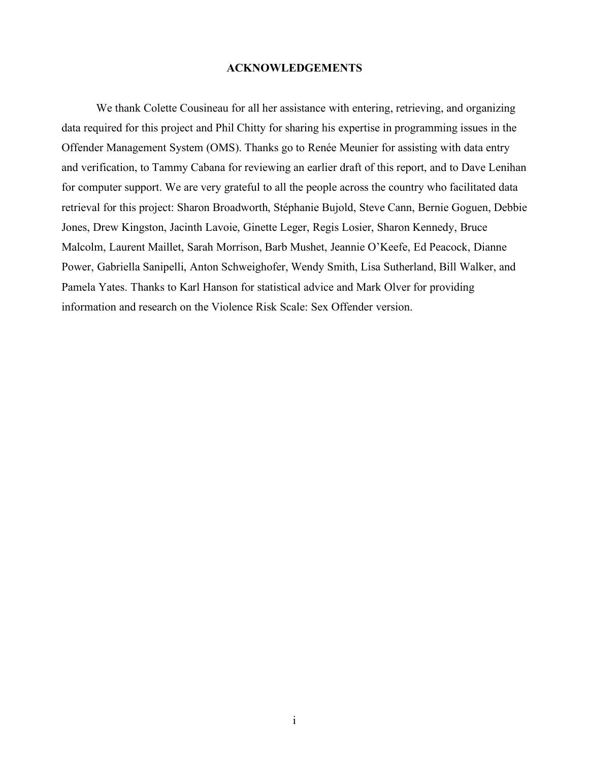# **ACKNOWLEDGEMENTS**

We thank Colette Cousineau for all her assistance with entering, retrieving, and organizing data required for this project and Phil Chitty for sharing his expertise in programming issues in the Offender Management System (OMS). Thanks go to Renée Meunier for assisting with data entry and verification, to Tammy Cabana for reviewing an earlier draft of this report, and to Dave Lenihan for computer support. We are very grateful to all the people across the country who facilitated data retrieval for this project: Sharon Broadworth, Stéphanie Bujold, Steve Cann, Bernie Goguen, Debbie Jones, Drew Kingston, Jacinth Lavoie, Ginette Leger, Regis Losier, Sharon Kennedy, Bruce Malcolm, Laurent Maillet, Sarah Morrison, Barb Mushet, Jeannie O'Keefe, Ed Peacock, Dianne Power, Gabriella Sanipelli, Anton Schweighofer, Wendy Smith, Lisa Sutherland, Bill Walker, and Pamela Yates. Thanks to Karl Hanson for statistical advice and Mark Olver for providing information and research on the Violence Risk Scale: Sex Offender version.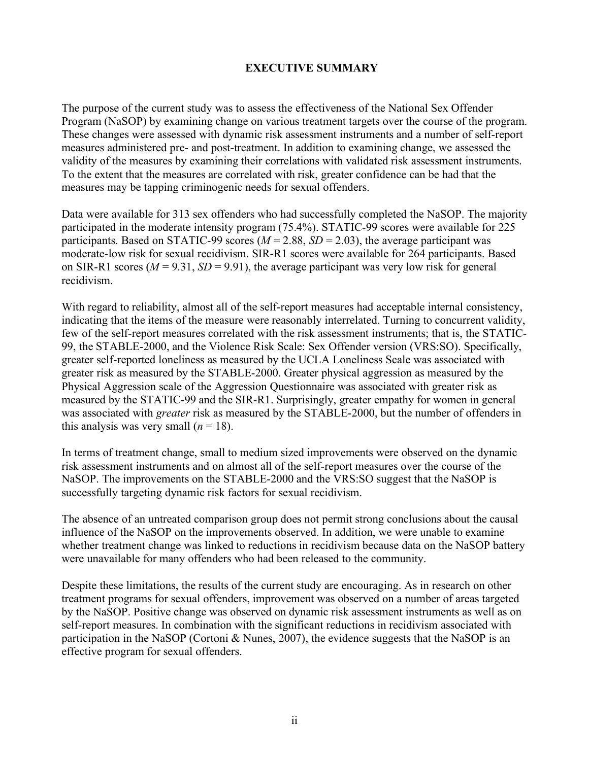# **EXECUTIVE SUMMARY**

The purpose of the current study was to assess the effectiveness of the National Sex Offender Program (NaSOP) by examining change on various treatment targets over the course of the program. These changes were assessed with dynamic risk assessment instruments and a number of self-report measures administered pre- and post-treatment. In addition to examining change, we assessed the validity of the measures by examining their correlations with validated risk assessment instruments. To the extent that the measures are correlated with risk, greater confidence can be had that the measures may be tapping criminogenic needs for sexual offenders.

Data were available for 313 sex offenders who had successfully completed the NaSOP. The majority participated in the moderate intensity program (75.4%). STATIC-99 scores were available for 225 participants. Based on STATIC-99 scores ( $M = 2.88$ ,  $SD = 2.03$ ), the average participant was moderate-low risk for sexual recidivism. SIR-R1 scores were available for 264 participants. Based on SIR-R1 scores ( $M = 9.31$ ,  $SD = 9.91$ ), the average participant was very low risk for general recidivism.

With regard to reliability, almost all of the self-report measures had acceptable internal consistency, indicating that the items of the measure were reasonably interrelated. Turning to concurrent validity, few of the self-report measures correlated with the risk assessment instruments; that is, the STATIC-99, the STABLE-2000, and the Violence Risk Scale: Sex Offender version (VRS:SO). Specifically, greater self-reported loneliness as measured by the UCLA Loneliness Scale was associated with greater risk as measured by the STABLE-2000. Greater physical aggression as measured by the Physical Aggression scale of the Aggression Questionnaire was associated with greater risk as measured by the STATIC-99 and the SIR-R1. Surprisingly, greater empathy for women in general was associated with *greater* risk as measured by the STABLE-2000, but the number of offenders in this analysis was very small  $(n = 18)$ .

In terms of treatment change, small to medium sized improvements were observed on the dynamic risk assessment instruments and on almost all of the self-report measures over the course of the NaSOP. The improvements on the STABLE-2000 and the VRS:SO suggest that the NaSOP is successfully targeting dynamic risk factors for sexual recidivism.

The absence of an untreated comparison group does not permit strong conclusions about the causal influence of the NaSOP on the improvements observed. In addition, we were unable to examine whether treatment change was linked to reductions in recidivism because data on the NaSOP battery were unavailable for many offenders who had been released to the community.

Despite these limitations, the results of the current study are encouraging. As in research on other treatment programs for sexual offenders, improvement was observed on a number of areas targeted by the NaSOP. Positive change was observed on dynamic risk assessment instruments as well as on self-report measures. In combination with the significant reductions in recidivism associated with participation in the NaSOP (Cortoni & Nunes, 2007), the evidence suggests that the NaSOP is an effective program for sexual offenders.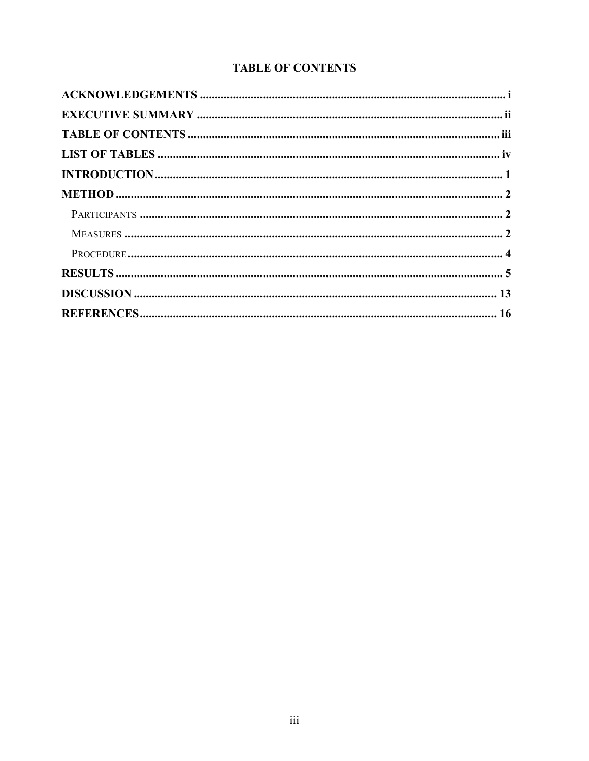# **TABLE OF CONTENTS**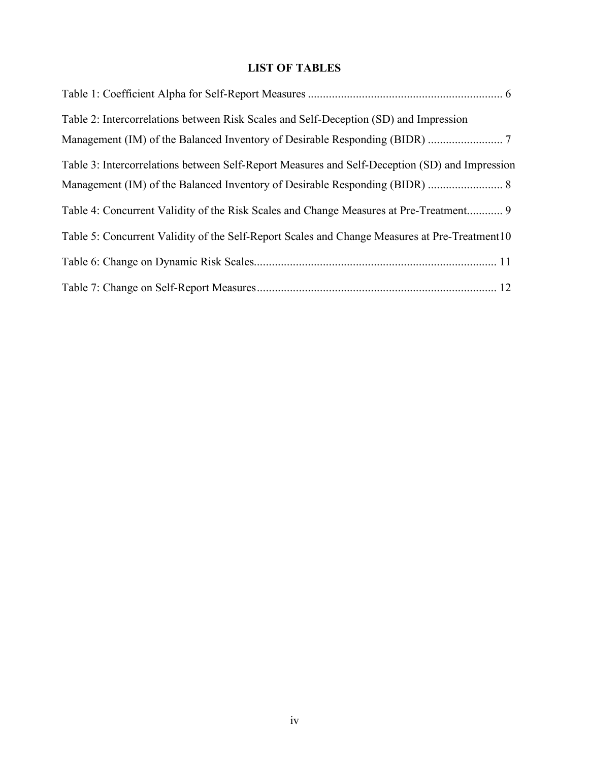# **LIST OF TABLES**

| Table 2: Intercorrelations between Risk Scales and Self-Deception (SD) and Impression          |  |
|------------------------------------------------------------------------------------------------|--|
|                                                                                                |  |
| Table 3: Intercorrelations between Self-Report Measures and Self-Deception (SD) and Impression |  |
|                                                                                                |  |
| Table 4: Concurrent Validity of the Risk Scales and Change Measures at Pre-Treatment           |  |
| Table 5: Concurrent Validity of the Self-Report Scales and Change Measures at Pre-Treatment 10 |  |
|                                                                                                |  |
|                                                                                                |  |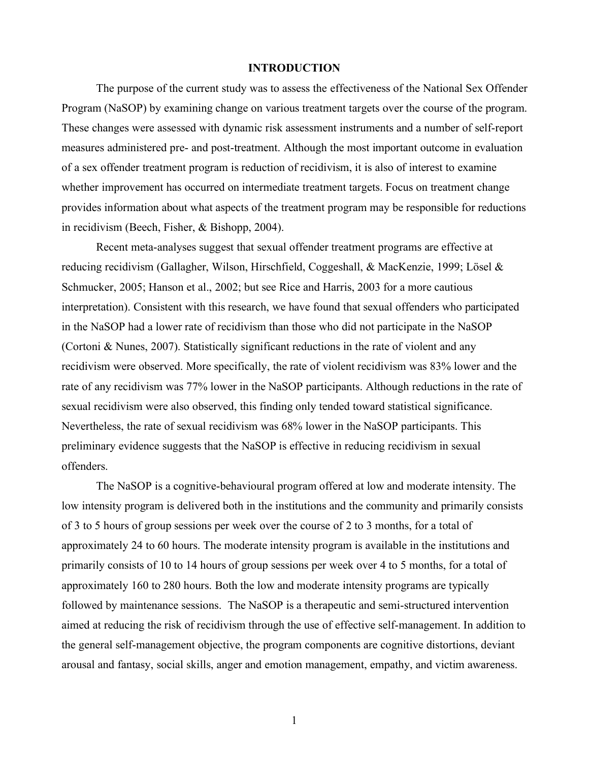## **INTRODUCTION**

The purpose of the current study was to assess the effectiveness of the National Sex Offender Program (NaSOP) by examining change on various treatment targets over the course of the program. These changes were assessed with dynamic risk assessment instruments and a number of self-report measures administered pre- and post-treatment. Although the most important outcome in evaluation of a sex offender treatment program is reduction of recidivism, it is also of interest to examine whether improvement has occurred on intermediate treatment targets. Focus on treatment change provides information about what aspects of the treatment program may be responsible for reductions in recidivism (Beech, Fisher, & Bishopp, 2004).

Recent meta-analyses suggest that sexual offender treatment programs are effective at reducing recidivism (Gallagher, Wilson, Hirschfield, Coggeshall, & MacKenzie, 1999; Lösel & Schmucker, 2005; Hanson et al., 2002; but see Rice and Harris, 2003 for a more cautious interpretation). Consistent with this research, we have found that sexual offenders who participated in the NaSOP had a lower rate of recidivism than those who did not participate in the NaSOP (Cortoni & Nunes, 2007). Statistically significant reductions in the rate of violent and any recidivism were observed. More specifically, the rate of violent recidivism was 83% lower and the rate of any recidivism was 77% lower in the NaSOP participants. Although reductions in the rate of sexual recidivism were also observed, this finding only tended toward statistical significance. Nevertheless, the rate of sexual recidivism was 68% lower in the NaSOP participants. This preliminary evidence suggests that the NaSOP is effective in reducing recidivism in sexual offenders.

The NaSOP is a cognitive-behavioural program offered at low and moderate intensity. The low intensity program is delivered both in the institutions and the community and primarily consists of 3 to 5 hours of group sessions per week over the course of 2 to 3 months, for a total of approximately 24 to 60 hours. The moderate intensity program is available in the institutions and primarily consists of 10 to 14 hours of group sessions per week over 4 to 5 months, for a total of approximately 160 to 280 hours. Both the low and moderate intensity programs are typically followed by maintenance sessions. The NaSOP is a therapeutic and semi-structured intervention aimed at reducing the risk of recidivism through the use of effective self-management. In addition to the general self-management objective, the program components are cognitive distortions, deviant arousal and fantasy, social skills, anger and emotion management, empathy, and victim awareness.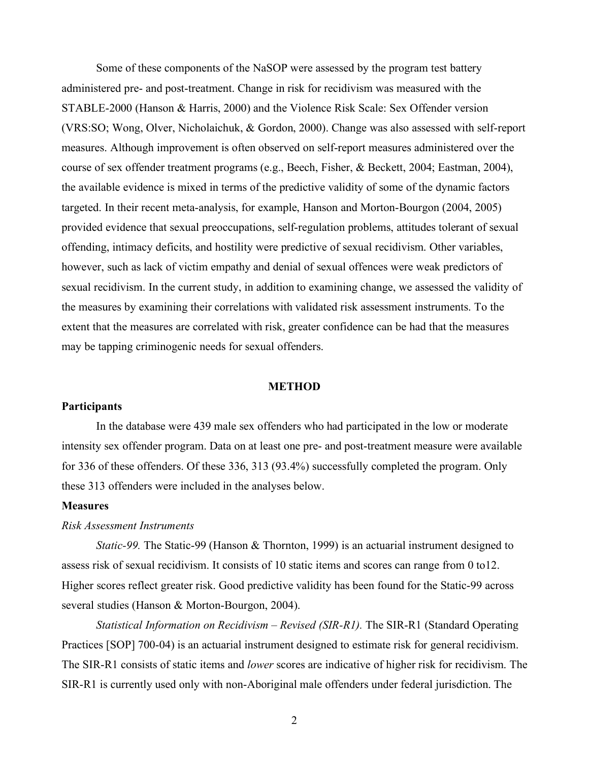Some of these components of the NaSOP were assessed by the program test battery administered pre- and post-treatment. Change in risk for recidivism was measured with the STABLE-2000 (Hanson & Harris, 2000) and the Violence Risk Scale: Sex Offender version (VRS:SO; Wong, Olver, Nicholaichuk, & Gordon, 2000). Change was also assessed with self-report measures. Although improvement is often observed on self-report measures administered over the course of sex offender treatment programs (e.g., Beech, Fisher, & Beckett, 2004; Eastman, 2004), the available evidence is mixed in terms of the predictive validity of some of the dynamic factors targeted. In their recent meta-analysis, for example, Hanson and Morton-Bourgon (2004, 2005) provided evidence that sexual preoccupations, self-regulation problems, attitudes tolerant of sexual offending, intimacy deficits, and hostility were predictive of sexual recidivism. Other variables, however, such as lack of victim empathy and denial of sexual offences were weak predictors of sexual recidivism. In the current study, in addition to examining change, we assessed the validity of the measures by examining their correlations with validated risk assessment instruments. To the extent that the measures are correlated with risk, greater confidence can be had that the measures may be tapping criminogenic needs for sexual offenders.

# **METHOD**

## **Participants**

In the database were 439 male sex offenders who had participated in the low or moderate intensity sex offender program. Data on at least one pre- and post-treatment measure were available for 336 of these offenders. Of these 336, 313 (93.4%) successfully completed the program. Only these 313 offenders were included in the analyses below.

#### **Measures**

# *Risk Assessment Instruments*

*Static-99.* The Static-99 (Hanson & Thornton, 1999) is an actuarial instrument designed to assess risk of sexual recidivism. It consists of 10 static items and scores can range from 0 to12. Higher scores reflect greater risk. Good predictive validity has been found for the Static-99 across several studies (Hanson & Morton-Bourgon, 2004).

*Statistical Information on Recidivism – Revised (SIR-R1).* The SIR-R1 (Standard Operating Practices [SOP] 700-04) is an actuarial instrument designed to estimate risk for general recidivism. The SIR-R1 consists of static items and *lower* scores are indicative of higher risk for recidivism. The SIR-R1 is currently used only with non-Aboriginal male offenders under federal jurisdiction. The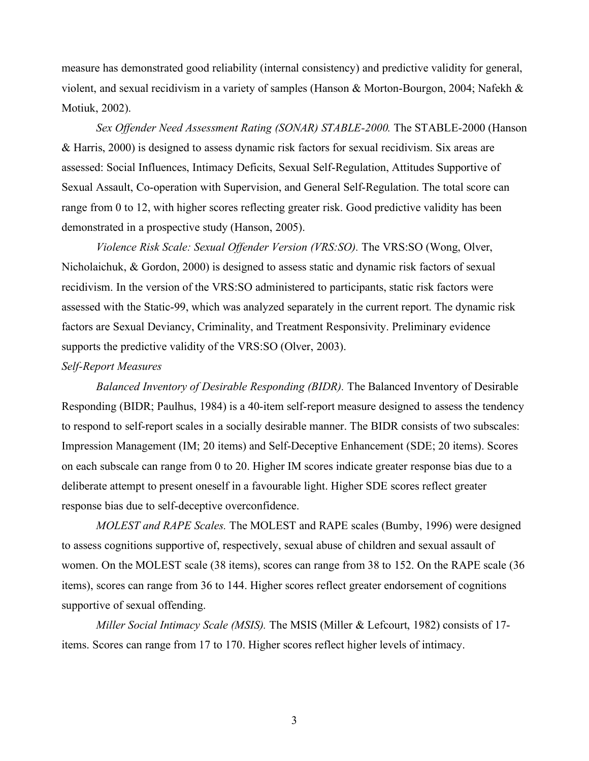measure has demonstrated good reliability (internal consistency) and predictive validity for general, violent, and sexual recidivism in a variety of samples (Hanson & Morton-Bourgon, 2004; Nafekh & Motiuk, 2002).

*Sex Offender Need Assessment Rating (SONAR) STABLE-2000.* The STABLE-2000 (Hanson & Harris, 2000) is designed to assess dynamic risk factors for sexual recidivism. Six areas are assessed: Social Influences, Intimacy Deficits, Sexual Self-Regulation, Attitudes Supportive of Sexual Assault, Co-operation with Supervision, and General Self-Regulation. The total score can range from 0 to 12, with higher scores reflecting greater risk. Good predictive validity has been demonstrated in a prospective study (Hanson, 2005).

*Violence Risk Scale: Sexual Offender Version (VRS:SO).* The VRS:SO (Wong, Olver, Nicholaichuk, & Gordon, 2000) is designed to assess static and dynamic risk factors of sexual recidivism. In the version of the VRS:SO administered to participants, static risk factors were assessed with the Static-99, which was analyzed separately in the current report. The dynamic risk factors are Sexual Deviancy, Criminality, and Treatment Responsivity. Preliminary evidence supports the predictive validity of the VRS:SO (Olver, 2003).

# *Self-Report Measures*

*Balanced Inventory of Desirable Responding (BIDR).* The Balanced Inventory of Desirable Responding (BIDR; Paulhus, 1984) is a 40-item self-report measure designed to assess the tendency to respond to self-report scales in a socially desirable manner. The BIDR consists of two subscales: Impression Management (IM; 20 items) and Self-Deceptive Enhancement (SDE; 20 items). Scores on each subscale can range from 0 to 20. Higher IM scores indicate greater response bias due to a deliberate attempt to present oneself in a favourable light. Higher SDE scores reflect greater response bias due to self-deceptive overconfidence.

*MOLEST and RAPE Scales.* The MOLEST and RAPE scales (Bumby, 1996) were designed to assess cognitions supportive of, respectively, sexual abuse of children and sexual assault of women. On the MOLEST scale (38 items), scores can range from 38 to 152. On the RAPE scale (36 items), scores can range from 36 to 144. Higher scores reflect greater endorsement of cognitions supportive of sexual offending.

*Miller Social Intimacy Scale (MSIS).* The MSIS (Miller & Lefcourt, 1982) consists of 17 items. Scores can range from 17 to 170. Higher scores reflect higher levels of intimacy.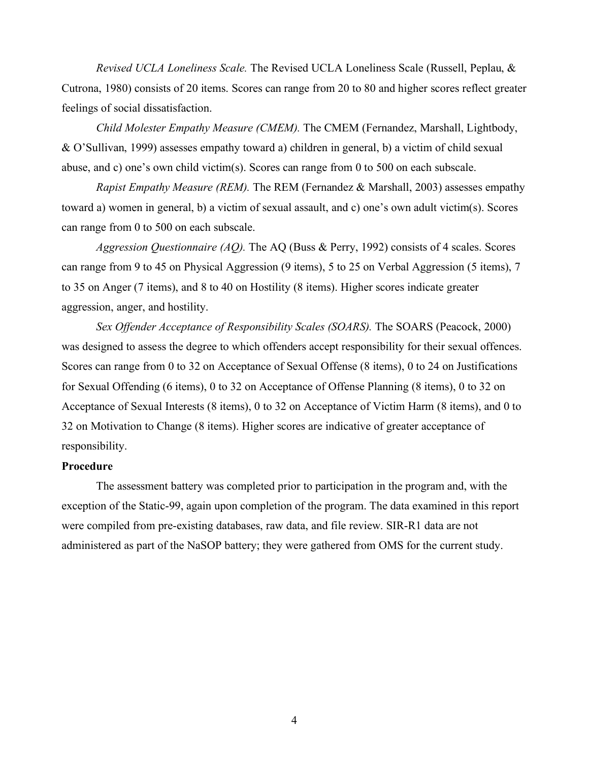*Revised UCLA Loneliness Scale.* The Revised UCLA Loneliness Scale (Russell, Peplau, & Cutrona, 1980) consists of 20 items. Scores can range from 20 to 80 and higher scores reflect greater feelings of social dissatisfaction.

*Child Molester Empathy Measure (CMEM).* The CMEM (Fernandez, Marshall, Lightbody, & O'Sullivan, 1999) assesses empathy toward a) children in general, b) a victim of child sexual abuse, and c) one's own child victim(s). Scores can range from 0 to 500 on each subscale.

*Rapist Empathy Measure (REM).* The REM (Fernandez & Marshall, 2003) assesses empathy toward a) women in general, b) a victim of sexual assault, and c) one's own adult victim(s). Scores can range from 0 to 500 on each subscale.

*Aggression Questionnaire (AQ).* The AQ (Buss & Perry, 1992) consists of 4 scales. Scores can range from 9 to 45 on Physical Aggression (9 items), 5 to 25 on Verbal Aggression (5 items), 7 to 35 on Anger (7 items), and 8 to 40 on Hostility (8 items). Higher scores indicate greater aggression, anger, and hostility.

*Sex Offender Acceptance of Responsibility Scales (SOARS).* The SOARS (Peacock, 2000) was designed to assess the degree to which offenders accept responsibility for their sexual offences. Scores can range from 0 to 32 on Acceptance of Sexual Offense (8 items), 0 to 24 on Justifications for Sexual Offending (6 items), 0 to 32 on Acceptance of Offense Planning (8 items), 0 to 32 on Acceptance of Sexual Interests (8 items), 0 to 32 on Acceptance of Victim Harm (8 items), and 0 to 32 on Motivation to Change (8 items). Higher scores are indicative of greater acceptance of responsibility.

# **Procedure**

The assessment battery was completed prior to participation in the program and, with the exception of the Static-99, again upon completion of the program. The data examined in this report were compiled from pre-existing databases, raw data, and file review. SIR-R1 data are not administered as part of the NaSOP battery; they were gathered from OMS for the current study.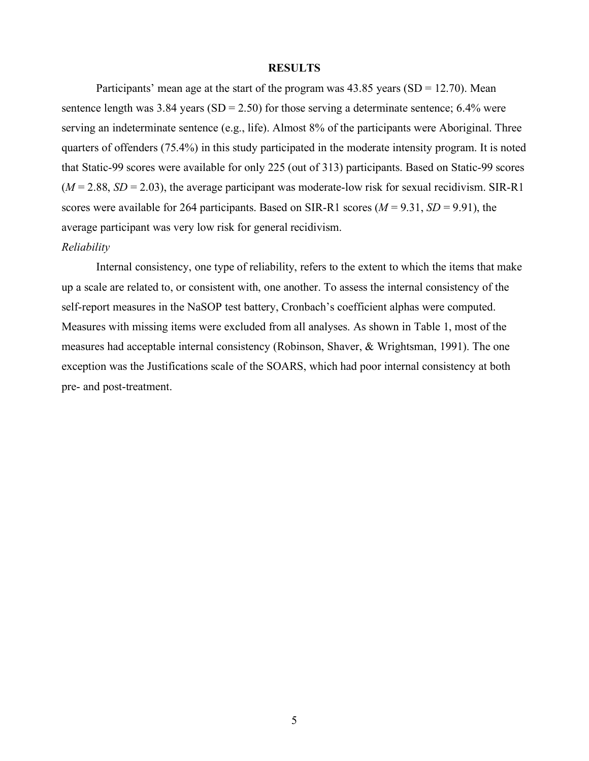## **RESULTS**

Participants' mean age at the start of the program was  $43.85$  years  $(SD = 12.70)$ . Mean sentence length was 3.84 years  $(SD = 2.50)$  for those serving a determinate sentence; 6.4% were serving an indeterminate sentence (e.g., life). Almost 8% of the participants were Aboriginal. Three quarters of offenders (75.4%) in this study participated in the moderate intensity program. It is noted that Static-99 scores were available for only 225 (out of 313) participants. Based on Static-99 scores  $(M = 2.88, SD = 2.03)$ , the average participant was moderate-low risk for sexual recidivism. SIR-R1 scores were available for 264 participants. Based on SIR-R1 scores  $(M = 9.31, SD = 9.91)$ , the average participant was very low risk for general recidivism.

# *Reliability*

Internal consistency, one type of reliability, refers to the extent to which the items that make up a scale are related to, or consistent with, one another. To assess the internal consistency of the self-report measures in the NaSOP test battery, Cronbach's coefficient alphas were computed. Measures with missing items were excluded from all analyses. As shown in Table 1, most of the measures had acceptable internal consistency (Robinson, Shaver, & Wrightsman, 1991). The one exception was the Justifications scale of the SOARS, which had poor internal consistency at both pre- and post-treatment.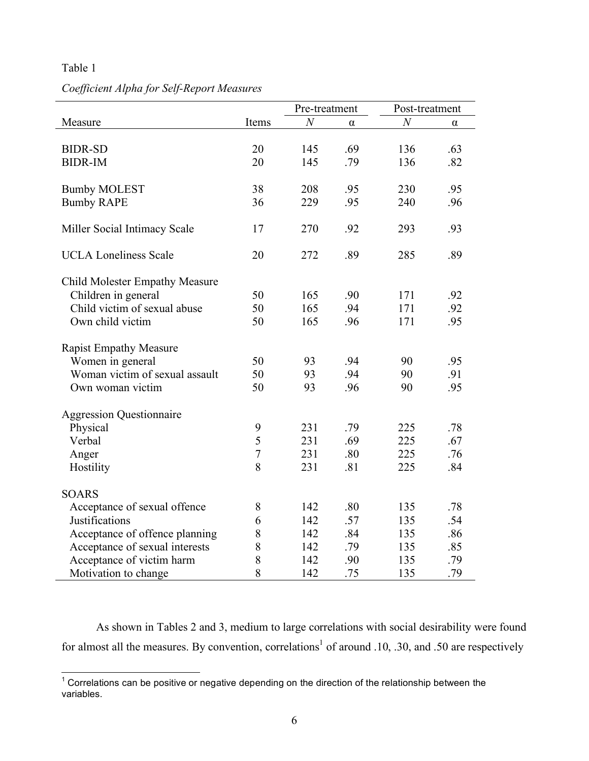# Table 1

# *Coefficient Alpha for Self-Report Measures*

|                                       |                | Pre-treatment  |          | Post-treatment   |     |
|---------------------------------------|----------------|----------------|----------|------------------|-----|
| Measure                               | Items          | $\overline{N}$ | $\alpha$ | $\boldsymbol{N}$ | α   |
|                                       |                |                |          |                  |     |
| <b>BIDR-SD</b>                        | 20             | 145            | .69      | 136              | .63 |
| <b>BIDR-IM</b>                        | 20             | 145            | .79      | 136              | .82 |
|                                       |                |                |          |                  |     |
| <b>Bumby MOLEST</b>                   | 38             | 208            | .95      | 230              | .95 |
| <b>Bumby RAPE</b>                     | 36             | 229            | .95      | 240              | .96 |
| Miller Social Intimacy Scale          | 17             | 270            | .92      | 293              | .93 |
|                                       |                |                |          |                  |     |
| <b>UCLA Loneliness Scale</b>          | 20             | 272            | .89      | 285              | .89 |
| <b>Child Molester Empathy Measure</b> |                |                |          |                  |     |
| Children in general                   | 50             | 165            | .90      | 171              | .92 |
| Child victim of sexual abuse          | 50             | 165            | .94      | 171              | .92 |
| Own child victim                      | 50             | 165            | .96      | 171              | .95 |
| <b>Rapist Empathy Measure</b>         |                |                |          |                  |     |
| Women in general                      | 50             | 93             | .94      | 90               | .95 |
| Woman victim of sexual assault        | 50             | 93             | .94      | 90               | .91 |
| Own woman victim                      | 50             | 93             | .96      | 90               | .95 |
| <b>Aggression Questionnaire</b>       |                |                |          |                  |     |
| Physical                              | 9              | 231            | .79      | 225              | .78 |
| Verbal                                | 5              | 231            | .69      | 225              | .67 |
| Anger                                 | $\overline{7}$ | 231            | .80      | 225              | .76 |
| Hostility                             | 8              | 231            | .81      | 225              | .84 |
|                                       |                |                |          |                  |     |
| <b>SOARS</b>                          |                |                |          |                  |     |
| Acceptance of sexual offence          | 8              | 142            | .80      | 135              | .78 |
| Justifications                        | 6              | 142            | .57      | 135              | .54 |
| Acceptance of offence planning        | 8              | 142            | .84      | 135              | .86 |
| Acceptance of sexual interests        | 8              | 142            | .79      | 135              | .85 |
| Acceptance of victim harm             | 8              | 142            | .90      | 135              | .79 |
| Motivation to change                  | 8              | 142            | .75      | 135              | .79 |

As shown in Tables 2 and 3, medium to large correlations with social desirability were found for almost all the measures. By convention, correlations<sup>1</sup> of around .10, .30, and .50 are respectively

 $1$  Correlations can be positive or negative depending on the direction of the relationship between the variables.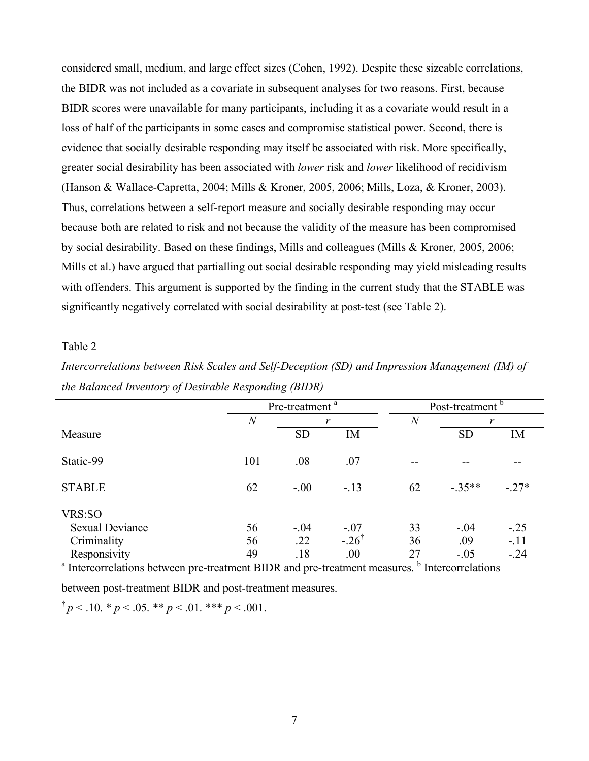considered small, medium, and large effect sizes (Cohen, 1992). Despite these sizeable correlations, the BIDR was not included as a covariate in subsequent analyses for two reasons. First, because BIDR scores were unavailable for many participants, including it as a covariate would result in a loss of half of the participants in some cases and compromise statistical power. Second, there is evidence that socially desirable responding may itself be associated with risk. More specifically, greater social desirability has been associated with *lower* risk and *lower* likelihood of recidivism (Hanson & Wallace-Capretta, 2004; Mills & Kroner, 2005, 2006; Mills, Loza, & Kroner, 2003). Thus, correlations between a self-report measure and socially desirable responding may occur because both are related to risk and not because the validity of the measure has been compromised by social desirability. Based on these findings, Mills and colleagues (Mills & Kroner, 2005, 2006; Mills et al.) have argued that partialling out social desirable responding may yield misleading results with offenders. This argument is supported by the finding in the current study that the STABLE was significantly negatively correlated with social desirability at post-test (see Table 2).

# Table 2

*Intercorrelations between Risk Scales and Self-Deception (SD) and Impression Management (IM) of the Balanced Inventory of Desirable Responding (BIDR)*

|                                  | Pre-treatment <sup>a</sup> |           |                     |                  | Post-treatment <sup>b</sup> |        |
|----------------------------------|----------------------------|-----------|---------------------|------------------|-----------------------------|--------|
|                                  | $\overline{N}$             |           | r                   | $\boldsymbol{N}$ | r                           |        |
| Measure                          |                            | <b>SD</b> | IM                  |                  | <b>SD</b>                   | IM     |
| Static-99                        | 101                        | .08       | .07                 |                  |                             |        |
| <b>STABLE</b>                    | 62                         | $-.00$    | $-13$               | 62               | $-35**$                     | $-27*$ |
| VRS:SO<br><b>Sexual Deviance</b> | 56                         | $-.04$    | $-.07$              | 33               | $-.04$                      | $-.25$ |
| Criminality                      | 56                         | .22       | $-.26$ <sup>†</sup> | 36               | .09                         | $-.11$ |
| Responsivity                     | 49                         | .18       | .00.                | 27               | $-.05$                      | $-.24$ |

 $A<sup>a</sup>$  Intercorrelations between pre-treatment BIDR and pre-treatment measures.  $B<sup>b</sup>$  Intercorrelations

between post-treatment BIDR and post-treatment measures.

 $\uparrow p < .10.$  \*  $p < .05.$  \*\*  $p < .01.$  \*\*\*  $p < .001.$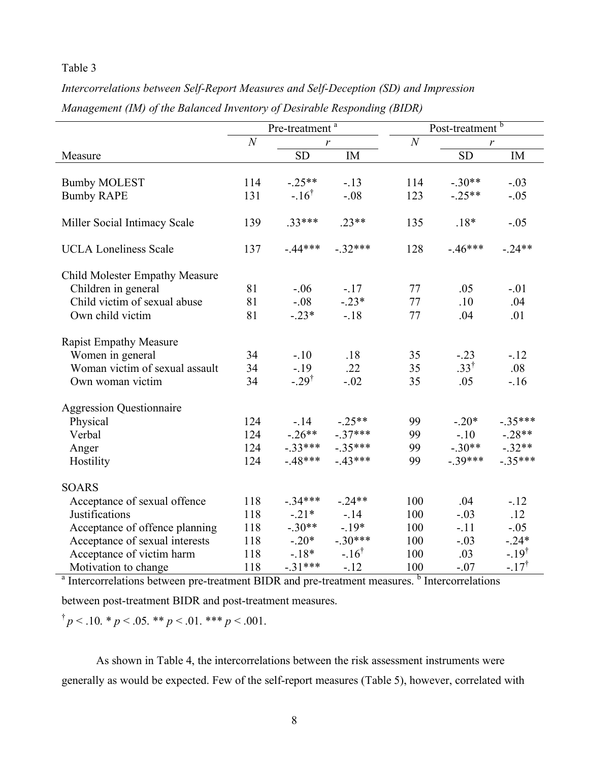# Table 3

|                                       | Pre-treatment <sup>a</sup> |                  |                  |                | Post-treatment <sup>b</sup> |                 |
|---------------------------------------|----------------------------|------------------|------------------|----------------|-----------------------------|-----------------|
|                                       | $\boldsymbol{N}$<br>r      |                  |                  | $\overline{N}$ |                             | r               |
| Measure                               |                            | <b>SD</b>        | IM               |                | <b>SD</b>                   | IM              |
|                                       |                            |                  |                  |                |                             |                 |
| <b>Bumby MOLEST</b>                   | 114                        | $-.25**$         | $-.13$           | 114            | $-.30**$                    | $-.03$          |
| <b>Bumby RAPE</b>                     | 131                        | $-.16^{\dagger}$ | $-.08$           | 123            | $-.25**$                    | $-.05$          |
| Miller Social Intimacy Scale          | 139                        | $.33***$         | $.23**$          | 135            | $.18*$                      | $-.05$          |
| <b>UCLA Loneliness Scale</b>          | 137                        | $-44***$         | $-.32***$        | 128            | $-46***$                    | $-.24**$        |
| <b>Child Molester Empathy Measure</b> |                            |                  |                  |                |                             |                 |
| Children in general                   | 81                         | $-.06$           | $-.17$           | 77             | .05                         | $-.01$          |
| Child victim of sexual abuse          | 81                         | $-.08$           | $-.23*$          | 77             | .10                         | .04             |
| Own child victim                      | 81                         | $-.23*$          | $-.18$           | 77             | .04                         | .01             |
| <b>Rapist Empathy Measure</b>         |                            |                  |                  |                |                             |                 |
| Women in general                      | 34                         | $-.10$           | .18              | 35             | $-.23$                      | $-.12$          |
| Woman victim of sexual assault        | 34                         | $-.19$           | .22              | 35             | $.33^{\dagger}$             | .08             |
| Own woman victim                      | 34                         | $-.29^{\dagger}$ | $-.02$           | 35             | .05                         | $-16$           |
| <b>Aggression Questionnaire</b>       |                            |                  |                  |                |                             |                 |
| Physical                              | 124                        | $-14$            | $-.25**$         | 99             | $-.20*$                     | $-.35***$       |
| Verbal                                | 124                        | $-.26**$         | $-37***$         | 99             | $-.10$                      | $-.28**$        |
| Anger                                 | 124                        | $-.33***$        | $-35***$         | 99             | $-.30**$                    | $-.32**$        |
| Hostility                             | 124                        | $-48***$         | $-43***$         | 99             | $-.39***$                   | $-.35***$       |
| <b>SOARS</b>                          |                            |                  |                  |                |                             |                 |
| Acceptance of sexual offence          | 118                        | $-.34***$        | $-24**$          | 100            | .04                         | $-12$           |
| Justifications                        | 118                        | $-.21*$          | $-14$            | 100            | $-.03$                      | .12             |
| Acceptance of offence planning        | 118                        | $-.30**$         | $-19*$           | 100            | $-.11$                      | $-.05$          |
| Acceptance of sexual interests        | 118                        | $-.20*$          | $-.30***$        | 100            | $-.03$                      | $-.24*$         |
| Acceptance of victim harm             | 118                        | $-18*$           | $-.16^{\dagger}$ | 100            | .03                         | $-19^{\dagger}$ |
| Motivation to change                  | 118                        | $-31***$         | $-.12$           | 100            | $-.07$                      | $-17^{\dagger}$ |

*Intercorrelations between Self-Report Measures and Self-Deception (SD) and Impression Management (IM) of the Balanced Inventory of Desirable Responding (BIDR)*

<sup>a</sup> Intercorrelations between pre-treatment BIDR and pre-treatment measures. <sup>b</sup> Intercorrelations

between post-treatment BIDR and post-treatment measures.

$$
^{\dagger}p < .10. \, ^{\ast}p < .05. \, ^{\ast\ast}p < .01. \, ^{\ast\ast\ast}p < .001.
$$

As shown in Table 4, the intercorrelations between the risk assessment instruments were generally as would be expected. Few of the self-report measures (Table 5), however, correlated with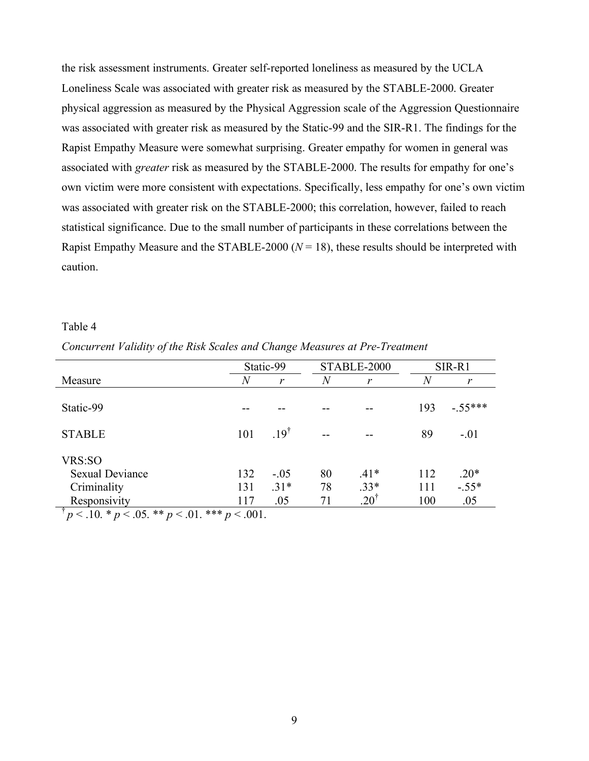the risk assessment instruments. Greater self-reported loneliness as measured by the UCLA Loneliness Scale was associated with greater risk as measured by the STABLE-2000. Greater physical aggression as measured by the Physical Aggression scale of the Aggression Questionnaire was associated with greater risk as measured by the Static-99 and the SIR-R1. The findings for the Rapist Empathy Measure were somewhat surprising. Greater empathy for women in general was associated with *greater* risk as measured by the STABLE-2000. The results for empathy for one's own victim were more consistent with expectations. Specifically, less empathy for one's own victim was associated with greater risk on the STABLE-2000; this correlation, however, failed to reach statistical significance. Due to the small number of participants in these correlations between the Rapist Empathy Measure and the STABLE-2000 ( $N = 18$ ), these results should be interpreted with caution.

#### Table 4

|                                                                                                                    |                | Static-99      |    | STABLE-2000     | SIR-R1         |           |  |  |
|--------------------------------------------------------------------------------------------------------------------|----------------|----------------|----|-----------------|----------------|-----------|--|--|
| Measure                                                                                                            | $\overline{N}$ | r              | N  | r               | $\overline{N}$ | r         |  |  |
|                                                                                                                    |                |                |    |                 |                |           |  |  |
| Static-99                                                                                                          |                |                |    |                 | 193            | $-.55***$ |  |  |
|                                                                                                                    |                |                |    |                 |                |           |  |  |
| <b>STABLE</b>                                                                                                      | 101            | $19^{\dagger}$ |    |                 | 89             | $-.01$    |  |  |
|                                                                                                                    |                |                |    |                 |                |           |  |  |
| VRS:SO                                                                                                             |                |                |    |                 |                |           |  |  |
| <b>Sexual Deviance</b>                                                                                             | 132            | $-.05$         | 80 | $.41*$          | 112            | $.20*$    |  |  |
| Criminality                                                                                                        | 131            | $.31*$         | 78 | $.33*$          | 111            | $-.55*$   |  |  |
| Responsivity                                                                                                       | 117            | .05            | 71 | $.20^{\dagger}$ | 100            | .05       |  |  |
| $\frac{1}{2}$ $\mu$ $\leq$ 10 $\pm$ $\mu$ $\leq$ 05 $\pm$ $\pm$ $\mu$ $\leq$ 01 $\pm$ $\pm$ $\pm$ $\mu$ $\leq$ 001 |                |                |    |                 |                |           |  |  |

*Concurrent Validity of the Risk Scales and Change Measures at Pre-Treatment*

 $p < 0.10 \cdot p < 0.05 \cdot p < 0.01 \cdot p < 0.01$ .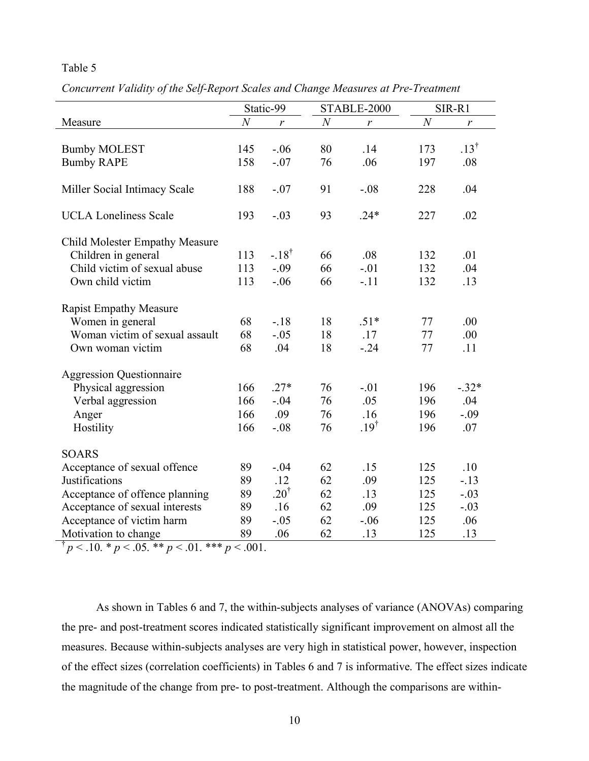# Table 5

*Concurrent Validity of the Self-Report Scales and Change Measures at Pre-Treatment*

|                                 |                  | Static-99       |                  | STABLE-2000<br>SIR-R1 |                  |                  |
|---------------------------------|------------------|-----------------|------------------|-----------------------|------------------|------------------|
| Measure                         | $\boldsymbol{N}$ | r               | $\boldsymbol{N}$ | r                     | $\boldsymbol{N}$ | $\boldsymbol{r}$ |
|                                 |                  |                 |                  |                       |                  |                  |
| <b>Bumby MOLEST</b>             | 145              | $-.06$          | 80               | .14                   | 173              | $.13^{\dagger}$  |
| <b>Bumby RAPE</b>               | 158              | $-.07$          | 76               | .06                   | 197              | .08              |
|                                 |                  |                 |                  |                       |                  |                  |
| Miller Social Intimacy Scale    | 188              | $-.07$          | 91               | $-.08$                | 228              | .04              |
|                                 |                  |                 |                  |                       |                  |                  |
| <b>UCLA Loneliness Scale</b>    | 193              | $-.03$          | 93               | $.24*$                | 227              | .02              |
|                                 |                  |                 |                  |                       |                  |                  |
| Child Molester Empathy Measure  |                  |                 |                  |                       |                  |                  |
| Children in general             | 113              | $-18^{\dagger}$ | 66               | .08                   | 132              | .01              |
| Child victim of sexual abuse    | 113              | $-.09$          | 66               | $-.01$                | 132              | .04              |
| Own child victim                | 113              | $-.06$          | 66               | $-.11$                | 132              | .13              |
|                                 |                  |                 |                  |                       |                  |                  |
| <b>Rapist Empathy Measure</b>   |                  |                 |                  |                       |                  |                  |
| Women in general                | 68               | $-18$           | 18               | $.51*$                | 77               | .00              |
| Woman victim of sexual assault  | 68               | $-.05$          | 18               | .17                   | 77               | .00              |
| Own woman victim                | 68               | .04             | 18               | $-.24$                | 77               | .11              |
|                                 |                  |                 |                  |                       |                  |                  |
| <b>Aggression Questionnaire</b> |                  |                 |                  |                       |                  |                  |
| Physical aggression             | 166              | $.27*$          | 76               | $-.01$                | 196              | $-.32*$          |
| Verbal aggression               | 166              | $-.04$          | 76               | .05                   | 196              | .04              |
| Anger                           | 166              | .09             | 76               | .16                   | 196              | $-.09$           |
| Hostility                       | 166              | $-.08$          | 76               | $.19^{\dagger}$       | 196              | .07              |
|                                 |                  |                 |                  |                       |                  |                  |
| <b>SOARS</b>                    |                  |                 |                  |                       |                  |                  |
| Acceptance of sexual offence    | 89               | $-.04$          | 62               | .15                   | 125              | .10              |
| Justifications                  | 89               | .12             | 62               | .09                   | 125              | $-.13$           |
| Acceptance of offence planning  | 89               | $.20^{\dagger}$ | 62               | .13                   | 125              | $-.03$           |
| Acceptance of sexual interests  | 89               | .16             | 62               | .09                   | 125              | $-.03$           |
| Acceptance of victim harm       | 89               | $-.05$          | 62               | $-.06$                | 125              | .06              |
| Motivation to change            | 89               | .06             | 62               | .13                   | 125              | .13              |

 $\bar{p}$  < .10. \* *p* < .05. \*\* *p* < .01. \*\*\* *p* < .001.

As shown in Tables 6 and 7, the within-subjects analyses of variance (ANOVAs) comparing the pre- and post-treatment scores indicated statistically significant improvement on almost all the measures. Because within-subjects analyses are very high in statistical power, however, inspection of the effect sizes (correlation coefficients) in Tables 6 and 7 is informative. The effect sizes indicate the magnitude of the change from pre- to post-treatment. Although the comparisons are within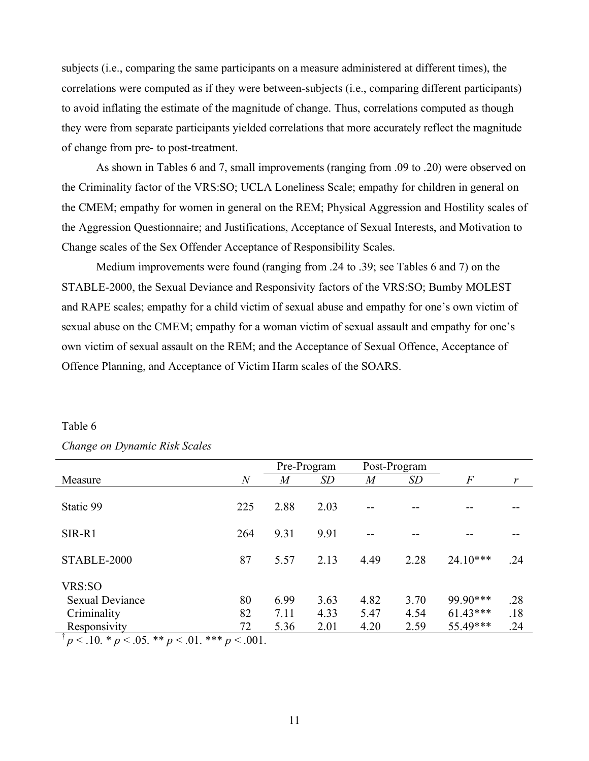subjects (i.e., comparing the same participants on a measure administered at different times), the correlations were computed as if they were between-subjects (i.e., comparing different participants) to avoid inflating the estimate of the magnitude of change. Thus, correlations computed as though they were from separate participants yielded correlations that more accurately reflect the magnitude of change from pre- to post-treatment.

As shown in Tables 6 and 7, small improvements (ranging from .09 to .20) were observed on the Criminality factor of the VRS:SO; UCLA Loneliness Scale; empathy for children in general on the CMEM; empathy for women in general on the REM; Physical Aggression and Hostility scales of the Aggression Questionnaire; and Justifications, Acceptance of Sexual Interests, and Motivation to Change scales of the Sex Offender Acceptance of Responsibility Scales.

Medium improvements were found (ranging from .24 to .39; see Tables 6 and 7) on the STABLE-2000, the Sexual Deviance and Responsivity factors of the VRS:SO; Bumby MOLEST and RAPE scales; empathy for a child victim of sexual abuse and empathy for one's own victim of sexual abuse on the CMEM; empathy for a woman victim of sexual assault and empathy for one's own victim of sexual assault on the REM; and the Acceptance of Sexual Offence, Acceptance of Offence Planning, and Acceptance of Victim Harm scales of the SOARS.

|                                                             |                | Pre-Program    |      | Post-Program |           |                |     |
|-------------------------------------------------------------|----------------|----------------|------|--------------|-----------|----------------|-----|
| Measure                                                     | $\overline{N}$ | $\overline{M}$ | SD   | M            | <b>SD</b> | $\overline{F}$ | r   |
|                                                             |                |                |      |              |           |                |     |
| Static 99                                                   | 225            | 2.88           | 2.03 |              |           |                |     |
|                                                             |                |                |      |              |           |                |     |
| SIR-R1                                                      | 264            | 9.31           | 9.91 |              |           |                |     |
|                                                             |                |                |      |              |           |                |     |
| STABLE-2000                                                 | 87             | 5.57           | 2.13 | 4.49         | 2.28      | $24.10***$     | .24 |
|                                                             |                |                |      |              |           |                |     |
| VRS:SO                                                      |                |                |      |              |           |                |     |
| <b>Sexual Deviance</b>                                      | 80             | 6.99           | 3.63 | 4.82         | 3.70      | 99.90***       | .28 |
| Criminality                                                 | 82             | 7.11           | 4.33 | 5.47         | 4.54      | $61.43***$     | .18 |
| Responsivity                                                | 72             | 5.36           | 2.01 | 4.20         | 2.59      | 55.49***       | .24 |
| $p < 10$ , * $p < 0.05$ , ** $p < 0.01$ , *** $p < 0.001$ . |                |                |      |              |           |                |     |

# Table 6 *Change on Dynamic Risk Scales*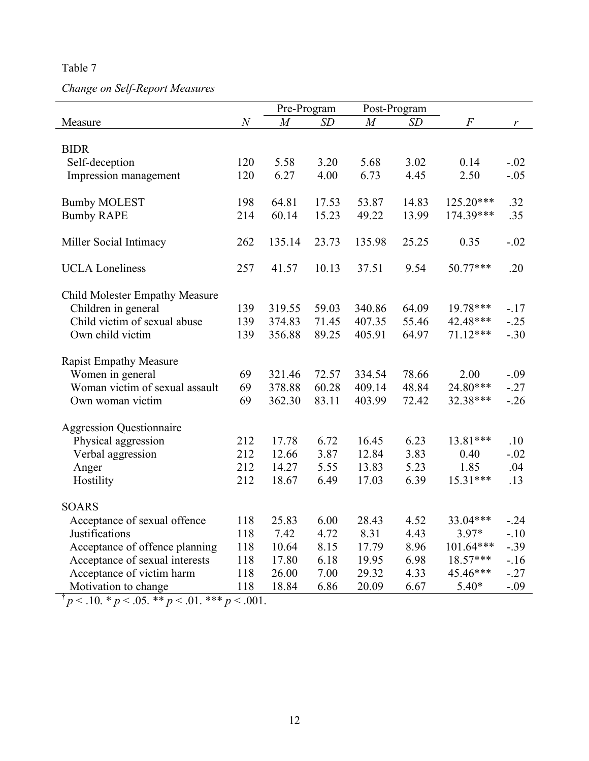Table 7

# *Change on Self-Report Measures*

|                                       |                  | Pre-Program    |       |                | Post-Program |                |         |
|---------------------------------------|------------------|----------------|-------|----------------|--------------|----------------|---------|
| Measure                               | $\boldsymbol{N}$ | $\overline{M}$ | SD    | $\overline{M}$ | SD           | $\overline{F}$ | r       |
|                                       |                  |                |       |                |              |                |         |
| <b>BIDR</b>                           |                  |                |       |                |              |                |         |
| Self-deception                        | 120              | 5.58           | 3.20  | 5.68           | 3.02         | 0.14           | $-.02$  |
| Impression management                 | 120              | 6.27           | 4.00  | 6.73           | 4.45         | 2.50           | $-.05$  |
| <b>Bumby MOLEST</b>                   | 198              | 64.81          | 17.53 | 53.87          | 14.83        | $125.20***$    | .32     |
| <b>Bumby RAPE</b>                     | 214              | 60.14          | 15.23 | 49.22          | 13.99        | 174.39***      | .35     |
|                                       |                  |                |       |                |              |                |         |
| Miller Social Intimacy                | 262              | 135.14         | 23.73 | 135.98         | 25.25        | 0.35           | $-.02$  |
| <b>UCLA</b> Loneliness                | 257              | 41.57          | 10.13 | 37.51          | 9.54         | 50.77***       | .20     |
|                                       |                  |                |       |                |              |                |         |
| <b>Child Molester Empathy Measure</b> |                  |                |       |                |              |                |         |
| Children in general                   | 139              | 319.55         | 59.03 | 340.86         | 64.09        | 19.78***       | $-17$   |
| Child victim of sexual abuse          | 139              | 374.83         | 71.45 | 407.35         | 55.46        | 42.48***       | $-.25$  |
| Own child victim                      | 139              | 356.88         | 89.25 | 405.91         | 64.97        | $71.12***$     | $-.30$  |
| <b>Rapist Empathy Measure</b>         |                  |                |       |                |              |                |         |
| Women in general                      | 69               | 321.46         | 72.57 | 334.54         | 78.66        | 2.00           | $-.09$  |
| Woman victim of sexual assault        | 69               | 378.88         | 60.28 | 409.14         | 48.84        | 24.80***       | $-.27$  |
| Own woman victim                      | 69               | 362.30         | 83.11 | 403.99         | 72.42        | 32.38***       | $-.26$  |
|                                       |                  |                |       |                |              |                |         |
| <b>Aggression Questionnaire</b>       |                  |                |       |                |              |                |         |
| Physical aggression                   | 212              | 17.78          | 6.72  | 16.45          | 6.23         | 13.81***       | .10     |
| Verbal aggression                     | 212              | 12.66          | 3.87  | 12.84          | 3.83         | 0.40           | $-.02$  |
| Anger                                 | 212              | 14.27          | 5.55  | 13.83          | 5.23         | 1.85           | .04     |
| Hostility                             | 212              | 18.67          | 6.49  | 17.03          | 6.39         | 15.31***       | .13     |
| <b>SOARS</b>                          |                  |                |       |                |              |                |         |
| Acceptance of sexual offence          | 118              | 25.83          | 6.00  | 28.43          | 4.52         | 33.04***       | $-0.24$ |
| Justifications                        | 118              | 7.42           | 4.72  | 8.31           | 4.43         | $3.97*$        | $-.10$  |
| Acceptance of offence planning        | 118              | 10.64          | 8.15  | 17.79          | 8.96         | 101.64***      | $-.39$  |
| Acceptance of sexual interests        | 118              | 17.80          | 6.18  | 19.95          | 6.98         | 18.57***       | $-16$   |
| Acceptance of victim harm             | 118              | 26.00          | 7.00  | 29.32          | 4.33         | 45.46***       | $-.27$  |
| Motivation to change                  | 118              | 18.84          | 6.86  | 20.09          | 6.67         | $5.40*$        | $-.09$  |
|                                       |                  |                |       |                |              |                |         |

 $\frac{1}{p} p < 0.10 \cdot p < 0.05 \cdot p < 0.01 \cdot p < 0.01$ .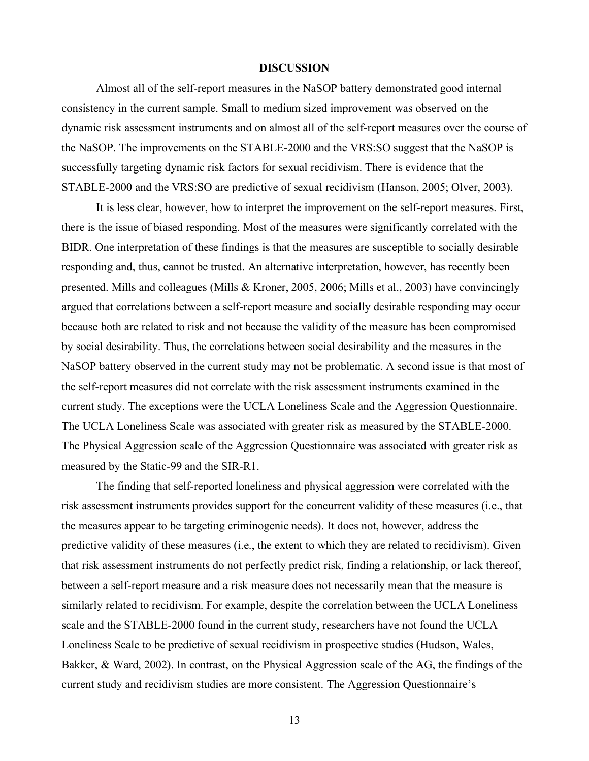## **DISCUSSION**

Almost all of the self-report measures in the NaSOP battery demonstrated good internal consistency in the current sample. Small to medium sized improvement was observed on the dynamic risk assessment instruments and on almost all of the self-report measures over the course of the NaSOP. The improvements on the STABLE-2000 and the VRS:SO suggest that the NaSOP is successfully targeting dynamic risk factors for sexual recidivism. There is evidence that the STABLE-2000 and the VRS:SO are predictive of sexual recidivism (Hanson, 2005; Olver, 2003).

It is less clear, however, how to interpret the improvement on the self-report measures. First, there is the issue of biased responding. Most of the measures were significantly correlated with the BIDR. One interpretation of these findings is that the measures are susceptible to socially desirable responding and, thus, cannot be trusted. An alternative interpretation, however, has recently been presented. Mills and colleagues (Mills & Kroner, 2005, 2006; Mills et al., 2003) have convincingly argued that correlations between a self-report measure and socially desirable responding may occur because both are related to risk and not because the validity of the measure has been compromised by social desirability. Thus, the correlations between social desirability and the measures in the NaSOP battery observed in the current study may not be problematic. A second issue is that most of the self-report measures did not correlate with the risk assessment instruments examined in the current study. The exceptions were the UCLA Loneliness Scale and the Aggression Questionnaire. The UCLA Loneliness Scale was associated with greater risk as measured by the STABLE-2000. The Physical Aggression scale of the Aggression Questionnaire was associated with greater risk as measured by the Static-99 and the SIR-R1.

The finding that self-reported loneliness and physical aggression were correlated with the risk assessment instruments provides support for the concurrent validity of these measures (i.e., that the measures appear to be targeting criminogenic needs). It does not, however, address the predictive validity of these measures (i.e., the extent to which they are related to recidivism). Given that risk assessment instruments do not perfectly predict risk, finding a relationship, or lack thereof, between a self-report measure and a risk measure does not necessarily mean that the measure is similarly related to recidivism. For example, despite the correlation between the UCLA Loneliness scale and the STABLE-2000 found in the current study, researchers have not found the UCLA Loneliness Scale to be predictive of sexual recidivism in prospective studies (Hudson, Wales, Bakker, & Ward, 2002). In contrast, on the Physical Aggression scale of the AG, the findings of the current study and recidivism studies are more consistent. The Aggression Questionnaire's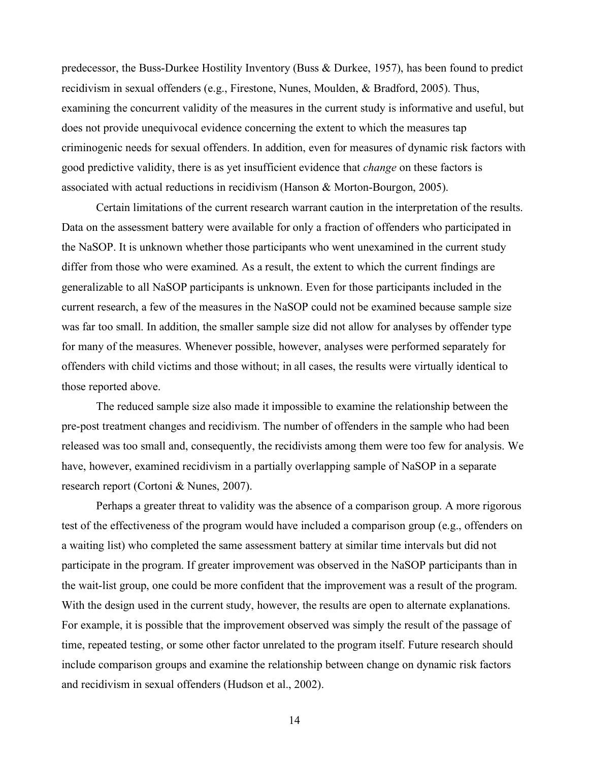predecessor, the Buss-Durkee Hostility Inventory (Buss & Durkee, 1957), has been found to predict recidivism in sexual offenders (e.g., Firestone, Nunes, Moulden, & Bradford, 2005). Thus, examining the concurrent validity of the measures in the current study is informative and useful, but does not provide unequivocal evidence concerning the extent to which the measures tap criminogenic needs for sexual offenders. In addition, even for measures of dynamic risk factors with good predictive validity, there is as yet insufficient evidence that *change* on these factors is associated with actual reductions in recidivism (Hanson & Morton-Bourgon, 2005).

Certain limitations of the current research warrant caution in the interpretation of the results. Data on the assessment battery were available for only a fraction of offenders who participated in the NaSOP. It is unknown whether those participants who went unexamined in the current study differ from those who were examined. As a result, the extent to which the current findings are generalizable to all NaSOP participants is unknown. Even for those participants included in the current research, a few of the measures in the NaSOP could not be examined because sample size was far too small. In addition, the smaller sample size did not allow for analyses by offender type for many of the measures. Whenever possible, however, analyses were performed separately for offenders with child victims and those without; in all cases, the results were virtually identical to those reported above.

The reduced sample size also made it impossible to examine the relationship between the pre-post treatment changes and recidivism. The number of offenders in the sample who had been released was too small and, consequently, the recidivists among them were too few for analysis. We have, however, examined recidivism in a partially overlapping sample of NaSOP in a separate research report (Cortoni & Nunes, 2007).

Perhaps a greater threat to validity was the absence of a comparison group. A more rigorous test of the effectiveness of the program would have included a comparison group (e.g., offenders on a waiting list) who completed the same assessment battery at similar time intervals but did not participate in the program. If greater improvement was observed in the NaSOP participants than in the wait-list group, one could be more confident that the improvement was a result of the program. With the design used in the current study, however, the results are open to alternate explanations. For example, it is possible that the improvement observed was simply the result of the passage of time, repeated testing, or some other factor unrelated to the program itself. Future research should include comparison groups and examine the relationship between change on dynamic risk factors and recidivism in sexual offenders (Hudson et al., 2002).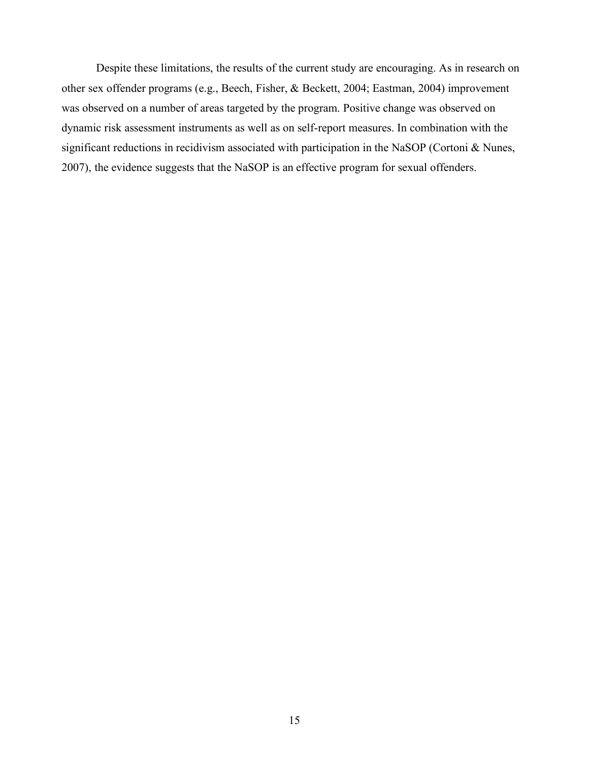Despite these limitations, the results of the current study are encouraging. As in research on other sex offender programs (e.g., Beech, Fisher, & Beckett, 2004; Eastman, 2004) improvement was observed on a number of areas targeted by the program. Positive change was observed on dynamic risk assessment instruments as well as on self-report measures. In combination with the significant reductions in recidivism associated with participation in the NaSOP (Cortoni & Nunes, 2007), the evidence suggests that the NaSOP is an effective program for sexual offenders.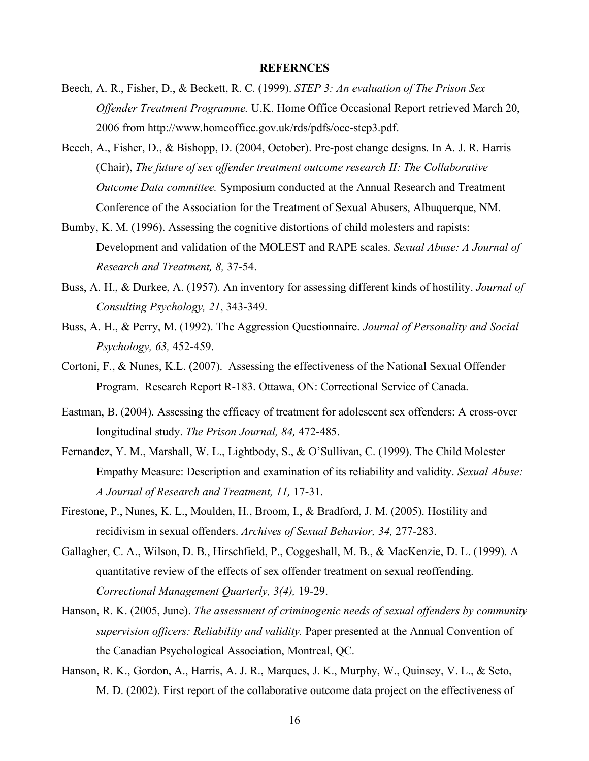## **REFERNCES**

- Beech, A. R., Fisher, D., & Beckett, R. C. (1999). *STEP 3: An evaluation of The Prison Sex Offender Treatment Programme.* U.K. Home Office Occasional Report retrieved March 20, 2006 from http://www.homeoffice.gov.uk/rds/pdfs/occ-step3.pdf.
- Beech, A., Fisher, D., & Bishopp, D. (2004, October). Pre-post change designs. In A. J. R. Harris (Chair), *The future of sex offender treatment outcome research II: The Collaborative Outcome Data committee.* Symposium conducted at the Annual Research and Treatment Conference of the Association for the Treatment of Sexual Abusers, Albuquerque, NM.
- Bumby, K. M. (1996). Assessing the cognitive distortions of child molesters and rapists: Development and validation of the MOLEST and RAPE scales. *Sexual Abuse: A Journal of Research and Treatment, 8,* 37-54.
- Buss, A. H., & Durkee, A. (1957). An inventory for assessing different kinds of hostility. *Journal of Consulting Psychology, 21*, 343-349.
- Buss, A. H., & Perry, M. (1992). The Aggression Questionnaire. *Journal of Personality and Social Psychology, 63,* 452-459.
- Cortoni, F., & Nunes, K.L. (2007). Assessing the effectiveness of the National Sexual Offender Program. Research Report R-183. Ottawa, ON: Correctional Service of Canada.
- Eastman, B. (2004). Assessing the efficacy of treatment for adolescent sex offenders: A cross-over longitudinal study. *The Prison Journal, 84,* 472-485.
- Fernandez, Y. M., Marshall, W. L., Lightbody, S., & O'Sullivan, C. (1999). The Child Molester Empathy Measure: Description and examination of its reliability and validity. *Sexual Abuse: A Journal of Research and Treatment, 11,* 17-31.
- Firestone, P., Nunes, K. L., Moulden, H., Broom, I., & Bradford, J. M. (2005). Hostility and recidivism in sexual offenders. *Archives of Sexual Behavior, 34,* 277-283.
- Gallagher, C. A., Wilson, D. B., Hirschfield, P., Coggeshall, M. B., & MacKenzie, D. L. (1999). A quantitative review of the effects of sex offender treatment on sexual reoffending. *Correctional Management Quarterly, 3(4),* 19-29.
- Hanson, R. K. (2005, June). *The assessment of criminogenic needs of sexual offenders by community supervision officers: Reliability and validity.* Paper presented at the Annual Convention of the Canadian Psychological Association, Montreal, QC.
- Hanson, R. K., Gordon, A., Harris, A. J. R., Marques, J. K., Murphy, W., Quinsey, V. L., & Seto, M. D. (2002). First report of the collaborative outcome data project on the effectiveness of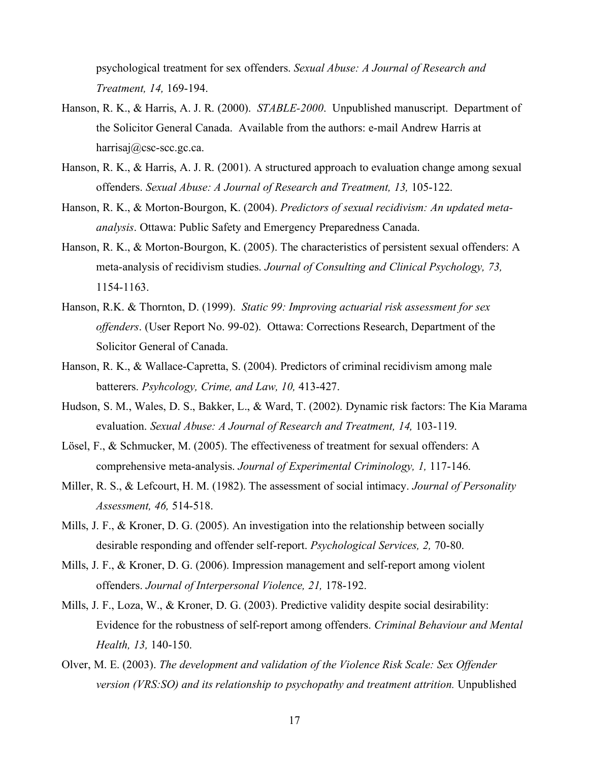psychological treatment for sex offenders. *Sexual Abuse: A Journal of Research and Treatment, 14,* 169-194.

- Hanson, R. K., & Harris, A. J. R. (2000). *STABLE-2000*. Unpublished manuscript. Department of the Solicitor General Canada. Available from the authors: e-mail Andrew Harris at harrisaj@csc-scc.gc.ca.
- Hanson, R. K., & Harris, A. J. R. (2001). A structured approach to evaluation change among sexual offenders. *Sexual Abuse: A Journal of Research and Treatment, 13,* 105-122.
- Hanson, R. K., & Morton-Bourgon, K. (2004). *Predictors of sexual recidivism: An updated metaanalysis*. Ottawa: Public Safety and Emergency Preparedness Canada.
- Hanson, R. K., & Morton-Bourgon, K. (2005). The characteristics of persistent sexual offenders: A meta-analysis of recidivism studies. *Journal of Consulting and Clinical Psychology, 73,* 1154-1163.
- Hanson, R.K. & Thornton, D. (1999). *Static 99: Improving actuarial risk assessment for sex offenders*. (User Report No. 99-02). Ottawa: Corrections Research, Department of the Solicitor General of Canada.
- Hanson, R. K., & Wallace-Capretta, S. (2004). Predictors of criminal recidivism among male batterers. *Psyhcology, Crime, and Law, 10,* 413-427.
- Hudson, S. M., Wales, D. S., Bakker, L., & Ward, T. (2002). Dynamic risk factors: The Kia Marama evaluation. *Sexual Abuse: A Journal of Research and Treatment, 14,* 103-119.
- Lösel, F., & Schmucker, M. (2005). The effectiveness of treatment for sexual offenders: A comprehensive meta-analysis. *Journal of Experimental Criminology, 1,* 117-146.
- Miller, R. S., & Lefcourt, H. M. (1982). The assessment of social intimacy. *Journal of Personality Assessment, 46,* 514-518.
- Mills, J. F., & Kroner, D. G. (2005). An investigation into the relationship between socially desirable responding and offender self-report. *Psychological Services, 2,* 70-80.
- Mills, J. F., & Kroner, D. G. (2006). Impression management and self-report among violent offenders. *Journal of Interpersonal Violence, 21,* 178-192.
- Mills, J. F., Loza, W., & Kroner, D. G. (2003). Predictive validity despite social desirability: Evidence for the robustness of self-report among offenders. *Criminal Behaviour and Mental Health, 13,* 140-150.
- Olver, M. E. (2003). *The development and validation of the Violence Risk Scale: Sex Offender version (VRS:SO) and its relationship to psychopathy and treatment attrition.* Unpublished